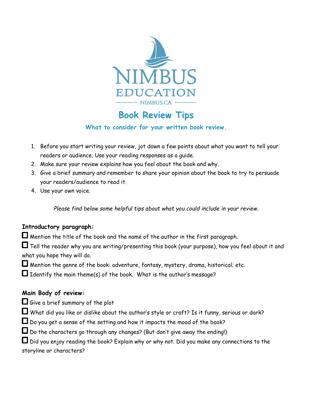

# **Book Review Tips**

#### **What to consider for your written book review.**

- 1. Before you start writing your review, jot down a few points about what you want to tell your readers or audience. Use your reading responses as a guide.
- 2. Make sure your review explains how you feel about the book and why.
- 3. Give a brief summary and remember to share your opinion about the book to try to persuade your readers/audience to read it.
- 4. Use your own voice.

*Please find below some helpful tips about what you could include in your review.*

## **Introductory paragraph:**

 $\Box$  Mention the title of the book and the name of the author in the first paragraph.

 $\Box$  Tell the reader why you are writing/presenting this book (your purpose), how you feel about it and what you hope they will do.

 $\Box$  Mention the genre of the book: adventure, fantasy, mystery, drama, historical; etc.

 $\Box$  Identify the main theme(s) of the book. What is the author's message?

## **Main Body of review:**

 $\Box$  Give a brief summary of the plot

 $\Box$  What did you like or dislike about the author's style or craft? Is it funny, serious or dark?

 $\Box$  Do you get a sense of the setting and how it impacts the mood of the book?

 $\square$  Do the characters go through any changes? (But don't give away the ending!)

 $\Box$  Did you enjoy reading the book? Explain why or why not. Did you make any connections to the storyline or characters?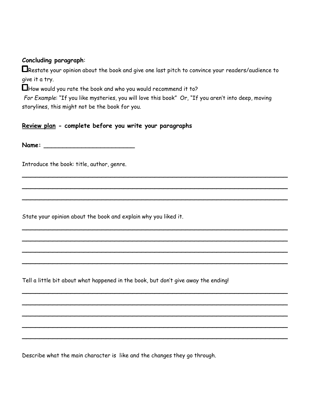#### **Concluding paragraph**:

Restate your opinion about the book and give one last pitch to convince your readers/audience to give it a try.

 $\Box$  How would you rate the book and who you would recommend it to?

*For Example*: "If you like mysteries, you will love this book" Or, "If you aren't into deep, moving storylines, this might not be the book for you.

\_\_\_\_\_\_\_\_\_\_\_\_\_\_\_\_\_\_\_\_\_\_\_\_\_\_\_\_\_\_\_\_\_\_\_\_\_\_\_\_\_\_\_\_\_\_\_\_\_\_\_\_\_\_\_\_\_\_\_\_

\_\_\_\_\_\_\_\_\_\_\_\_\_\_\_\_\_\_\_\_\_\_\_\_\_\_\_\_\_\_\_\_\_\_\_\_\_\_\_\_\_\_\_\_\_\_\_\_\_\_\_\_\_\_\_\_\_\_\_\_

\_\_\_\_\_\_\_\_\_\_\_\_\_\_\_\_\_\_\_\_\_\_\_\_\_\_\_\_\_\_\_\_\_\_\_\_\_\_\_\_\_\_\_\_\_\_\_\_\_\_\_\_\_\_\_\_\_\_\_\_

\_\_\_\_\_\_\_\_\_\_\_\_\_\_\_\_\_\_\_\_\_\_\_\_\_\_\_\_\_\_\_\_\_\_\_\_\_\_\_\_\_\_\_\_\_\_\_\_\_\_\_\_\_\_\_\_\_\_\_\_

\_\_\_\_\_\_\_\_\_\_\_\_\_\_\_\_\_\_\_\_\_\_\_\_\_\_\_\_\_\_\_\_\_\_\_\_\_\_\_\_\_\_\_\_\_\_\_\_\_\_\_\_\_\_\_\_\_\_\_\_

\_\_\_\_\_\_\_\_\_\_\_\_\_\_\_\_\_\_\_\_\_\_\_\_\_\_\_\_\_\_\_\_\_\_\_\_\_\_\_\_\_\_\_\_\_\_\_\_\_\_\_\_\_\_\_\_\_\_\_\_

\_\_\_\_\_\_\_\_\_\_\_\_\_\_\_\_\_\_\_\_\_\_\_\_\_\_\_\_\_\_\_\_\_\_\_\_\_\_\_\_\_\_\_\_\_\_\_\_\_\_\_\_\_\_\_\_\_\_\_\_

\_\_\_\_\_\_\_\_\_\_\_\_\_\_\_\_\_\_\_\_\_\_\_\_\_\_\_\_\_\_\_\_\_\_\_\_\_\_\_\_\_\_\_\_\_\_\_\_\_\_\_\_\_\_\_\_\_\_\_\_

\_\_\_\_\_\_\_\_\_\_\_\_\_\_\_\_\_\_\_\_\_\_\_\_\_\_\_\_\_\_\_\_\_\_\_\_\_\_\_\_\_\_\_\_\_\_\_\_\_\_\_\_\_\_\_\_\_\_\_\_

\_\_\_\_\_\_\_\_\_\_\_\_\_\_\_\_\_\_\_\_\_\_\_\_\_\_\_\_\_\_\_\_\_\_\_\_\_\_\_\_\_\_\_\_\_\_\_\_\_\_\_\_\_\_\_\_\_\_\_\_

\_\_\_\_\_\_\_\_\_\_\_\_\_\_\_\_\_\_\_\_\_\_\_\_\_\_\_\_\_\_\_\_\_\_\_\_\_\_\_\_\_\_\_\_\_\_\_\_\_\_\_\_\_\_\_\_\_\_\_\_

\_\_\_\_\_\_\_\_\_\_\_\_\_\_\_\_\_\_\_\_\_\_\_\_\_\_\_\_\_\_\_\_\_\_\_\_\_\_\_\_\_\_\_\_\_\_\_\_\_\_\_\_\_\_\_\_\_\_\_\_

#### **Review plan - complete before you write your paragraphs**

**Name: \_\_\_\_\_\_\_\_\_\_\_\_\_\_\_\_\_\_\_\_\_\_\_\_**

Introduce the book: title, author, genre.

State your opinion about the book and explain why you liked it.

Tell a little bit about what happened in the book, but don't give away the ending!

Describe what the main character is like and the changes they go through.